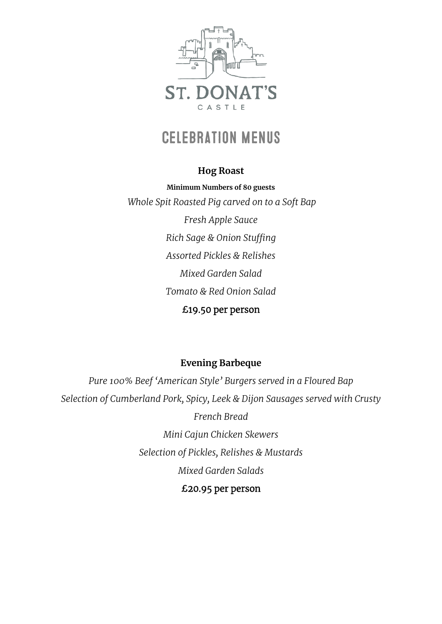

# **CELEBRATION MENUS**

#### **Hog Roast**

**Minimum Numbers of 80 guests** *Whole Spit Roasted Pig carved on to a Soft Bap Fresh Apple Sauce Rich Sage & Onion Stuffing Assorted Pickles & Relishes Mixed Garden Salad Tomato & Red Onion Salad* £19.50 per person

## **Evening Barbeque**

*Pure 100% Beef 'American Style' Burgers served in a Floured Bap Selection of Cumberland Pork, Spicy, Leek & Dijon Sausages served with Crusty French Bread Mini Cajun Chicken Skewers Selection of Pickles, Relishes & Mustards Mixed Garden Salads* £20.95 per person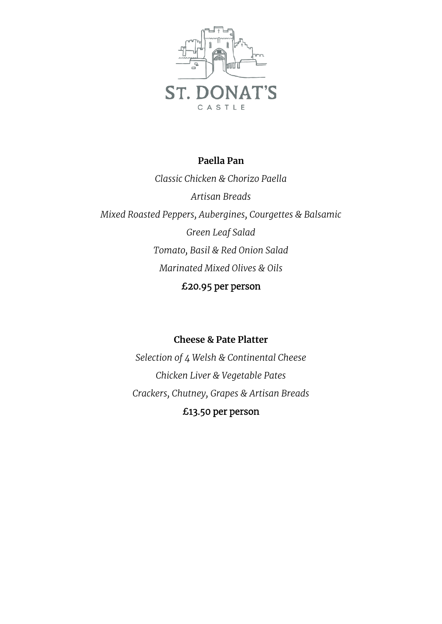

#### **Paella Pan**

*Classic Chicken & Chorizo Paella Artisan Breads Mixed Roasted Peppers, Aubergines, Courgettes & Balsamic Green Leaf Salad Tomato, Basil & Red Onion Salad Marinated Mixed Olives & Oils* £20.95 per person

#### **Cheese & Pate Platter**

*Selection of 4 Welsh & Continental Cheese Chicken Liver & Vegetable Pates Crackers, Chutney, Grapes & Artisan Breads* £13.50 per person